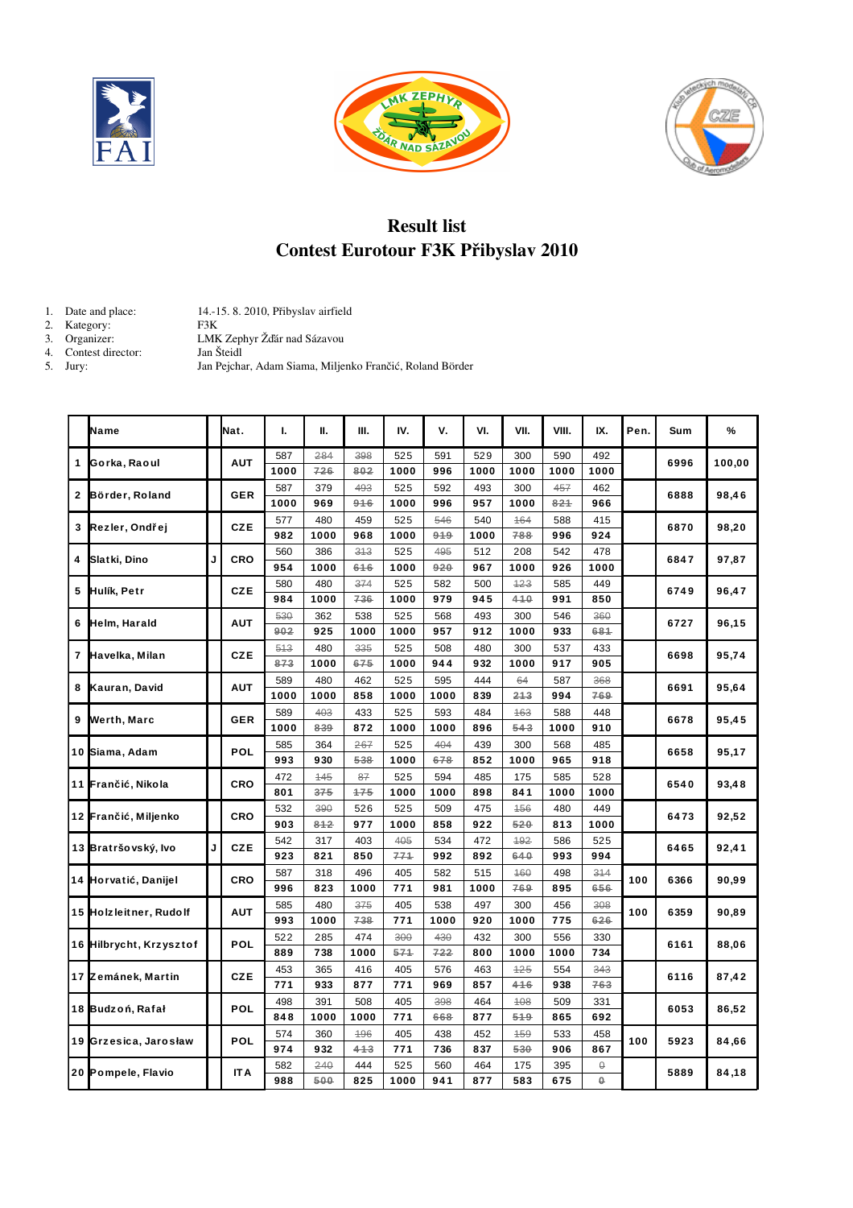





## Result list Contest Eurotour F3K Přibyslav 2010

Jan Pejchar, Adam Siama, Miljenko Frančić, Roland Börder

- 1. Date and place: 14.15. 8. 2010, Přibyslav airfield F3K<br>LMK Zephyr Žďár nad Sázavou<br>Jan Šteidl
- 2. Kategory:<br>3. Organizer:
- 
- 4. Contest director:<br>5. Jury:

|   | Name                    |   | Nat.       | т.         | н.   | Ш.   | IV.  | v.   | VI.  | VII. | VIII. | IX.      | Pen. | Sum  | %      |
|---|-------------------------|---|------------|------------|------|------|------|------|------|------|-------|----------|------|------|--------|
| 1 |                         |   | <b>AUT</b> | 587        | 284  | 398  | 525  | 591  | 529  | 300  | 590   | 492      |      |      |        |
|   | Gorka, Raoul            |   |            | 1000       | 726  | 802  | 1000 | 996  | 1000 | 1000 | 1000  | 1000     |      | 6996 | 100,00 |
| 2 |                         |   |            | 587        | 379  | 493  | 525  | 592  | 493  | 300  | 457   | 462      |      | 6888 | 98,46  |
|   | Börder, Roland          |   | <b>GER</b> | 1000       | 969  | 916  | 1000 | 996  | 957  | 1000 | 821   | 966      |      |      |        |
| 3 | Rezler, Ondřej          |   | <b>CZE</b> | 577        | 480  | 459  | 525  | 546  | 540  | 164  | 588   | 415      |      | 6870 | 98,20  |
|   |                         |   |            | 982        | 1000 | 968  | 1000 | 919  | 1000 | 788  | 996   | 924      |      |      |        |
| 4 | Slatki, Dino            | J | CRO        | 560        | 386  | 313  | 525  | 495  | 512  | 208  | 542   | 478      |      | 6847 |        |
|   |                         |   |            | 954        | 1000 | 616  | 1000 | 920  | 967  | 1000 | 926   | 1000     |      |      | 97,87  |
| 5 | Hulík, Petr             |   | <b>CZE</b> | 580        | 480  | 374  | 525  | 582  | 500  | 123  | 585   | 449      | 6749 |      | 96,47  |
|   |                         |   |            | 984        | 1000 | 736  | 1000 | 979  | 945  | 410  | 991   | 850      |      |      |        |
|   | Helm, Harald            |   | AUT        | 530        | 362  | 538  | 525  | 568  | 493  | 300  | 546   | 360      |      | 6727 | 96,15  |
| 6 |                         |   |            | 902        | 925  | 1000 | 1000 | 957  | 912  | 1000 | 933   | 681      |      |      |        |
|   | Havelka, Milan          |   | <b>CZE</b> | 513        | 480  | 335  | 525  | 508  | 480  | 300  | 537   | 433      |      | 6698 | 95,74  |
| 7 |                         |   |            | 873        | 1000 | 675  | 1000 | 944  | 932  | 1000 | 917   | 905      |      |      |        |
|   |                         |   |            | 589        | 480  | 462  | 525  | 595  | 444  | 64   | 587   | 368      |      | 6691 | 95,64  |
| 8 | Kauran, David           |   |            | <b>AUT</b> | 1000 | 1000 | 858  | 1000 | 1000 | 839  | 213   | 994      | 769  |      |        |
| 9 | Werth, Marc             |   | <b>GER</b> | 589        | 403  | 433  | 525  | 593  | 484  | 163  | 588   | 448      |      | 6678 | 95,45  |
|   |                         |   |            | 1000       | 839  | 872  | 1000 | 1000 | 896  | 543  | 1000  | 910      |      |      |        |
|   | 10 Siama, Adam          |   | POL        | 585        | 364  | 267  | 525  | 404  | 439  | 300  | 568   | 485      |      | 6658 | 95,17  |
|   |                         |   |            | 993        | 930  | 538  | 1000 | 678  | 852  | 1000 | 965   | 918      |      |      |        |
|   | 11 Frančić, Nikola      |   | CRO        | 472        | 145  | 87   | 525  | 594  | 485  | 175  | 585   | 528      |      | 6540 | 93,48  |
|   |                         |   |            | 801        | 375  | 175  | 1000 | 1000 | 898  | 841  | 1000  | 1000     |      |      |        |
|   | 12 Frančić, Miljenko    |   | CRO        | 532        | 390  | 526  | 525  | 509  | 475  | 156  | 480   | 449      |      | 6473 | 92,52  |
|   |                         |   |            | 903        | 812  | 977  | 1000 | 858  | 922  | 520  | 813   | 1000     |      |      |        |
|   | 13 Bratršovský, Ivo     | J | <b>CZE</b> | 542        | 317  | 403  | 405  | 534  | 472  | 192  | 586   | 525      |      | 6465 | 92,41  |
|   |                         |   |            | 923        | 821  | 850  | 771  | 992  | 892  | 640  | 993   | 994      |      |      |        |
|   | 14 Horvatić, Danijel    |   | CRO        | 587        | 318  | 496  | 405  | 582  | 515  | 160  | 498   | 314      | 100  | 6366 | 90,99  |
|   |                         |   |            | 996        | 823  | 1000 | 771  | 981  | 1000 | 769  | 895   | 656      |      |      |        |
|   | 15 Holzleitner, Rudolf  |   | <b>AUT</b> | 585        | 480  | 375  | 405  | 538  | 497  | 300  | 456   | 308      | 100  | 6359 | 90,89  |
|   |                         |   |            | 993        | 1000 | 738  | 771  | 1000 | 920  | 1000 | 775   | 626      |      |      |        |
|   |                         |   | POL        | 522        | 285  | 474  | 300  | 430  | 432  | 300  | 556   | 330      |      |      | 88,06  |
|   | 16 Hilbrycht, Krzysztof |   |            | 889        | 738  | 1000 | 571  | 722  | 800  | 1000 | 1000  | 734      |      | 6161 |        |
|   | 17 Zemánek, Martin      |   | <b>CZE</b> | 453        | 365  | 416  | 405  | 576  | 463  | 125  | 554   | 343      |      | 6116 | 87,42  |
|   |                         |   |            | 771        | 933  | 877  | 771  | 969  | 857  | 416  | 938   | 763      |      |      |        |
|   | 18 Budzoń, Rafał        |   | POL        | 498        | 391  | 508  | 405  | 398  | 464  | 108  | 509   | 331      |      | 6053 | 86,52  |
|   |                         |   |            | 848        | 1000 | 1000 | 771  | 668  | 877  | 519  | 865   | 692      |      |      |        |
|   | 19 Grzesica, Jarosław   |   | POL        | 574        | 360  | 196  | 405  | 438  | 452  | 159  | 533   | 458      | 100  | 5923 | 84,66  |
|   |                         |   |            | 974        | 932  | 413  | 771  | 736  | 837  | 530  | 906   | 867      |      |      |        |
|   | 20 Pompele, Flavio      |   |            | 582        | 240  | 444  | 525  | 560  | 464  | 175  | 395   | θ        |      | 5889 | 84,18  |
|   |                         |   | <b>ITA</b> | 988        | 500  | 825  | 1000 | 941  | 877  | 583  | 675   | $\theta$ |      |      |        |